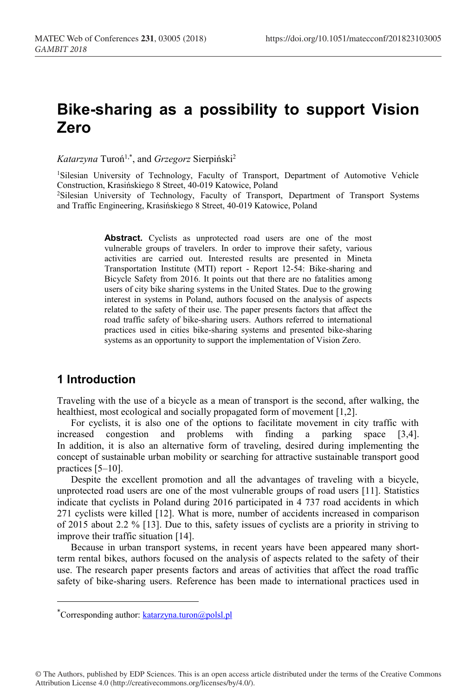# **Bike-sharing as a possibility to support Vision Zero**

*Katarzyna* Turoń1,\* , and *Grzegorz* Sierpiński<sup>2</sup>

1 Silesian University of Technology, Faculty of Transport, Department of Automotive Vehicle Construction, Krasińskiego 8 Street, 40-019 Katowice, Poland 2Silesian University of Technology, Faculty of Transport, Department of Transport Systems

and Traffic Engineering, Krasińskiego 8 Street, 40-019 Katowice, Poland

**Abstract.** Cyclists as unprotected road users are one of the most vulnerable groups of travelers. In order to improve their safety, various activities are carried out. Interested results are presented in Mineta Transportation Institute (MTI) report - Report 12-54: Bike-sharing and Bicycle Safety from 2016. It points out that there are no fatalities among users of city bike sharing systems in the United States. Due to the growing interest in systems in Poland, authors focused on the analysis of aspects related to the safety of their use. The paper presents factors that affect the road traffic safety of bike-sharing users. Authors referred to international practices used in cities bike-sharing systems and presented bike-sharing systems as an opportunity to support the implementation of Vision Zero.

# **1 Introduction**

-

Traveling with the use of a bicycle as a mean of transport is the second, after walking, the healthiest, most ecological and socially propagated form of movement [1,2].

For cyclists, it is also one of the options to facilitate movement in city traffic with increased congestion and problems with finding a parking space [3,4]. In addition, it is also an alternative form of traveling, desired during implementing the concept of sustainable urban mobility or searching for attractive sustainable transport good practices [5–10].

Despite the excellent promotion and all the advantages of traveling with a bicycle, unprotected road users are one of the most vulnerable groups of road users [11]. Statistics indicate that cyclists in Poland during 2016 participated in 4 737 road accidents in which 271 cyclists were killed [12]. What is more, number of accidents increased in comparison of 2015 about 2.2 % [13]. Due to this, safety issues of cyclists are a priority in striving to improve their traffic situation [14].

Because in urban transport systems, in recent years have been appeared many shortterm rental bikes, authors focused on the analysis of aspects related to the safety of their use. The research paper presents factors and areas of activities that affect the road traffic safety of bike-sharing users. Reference has been made to international practices used in

© The Authors, published by EDP Sciences. This is an open access article distributed under the terms of the Creative Commons Attribution License 4.0 (http://creativecommons.org/licenses/by/4.0/).

<sup>\*</sup>Corresponding author: **katarzyna.turon@polsl.pl**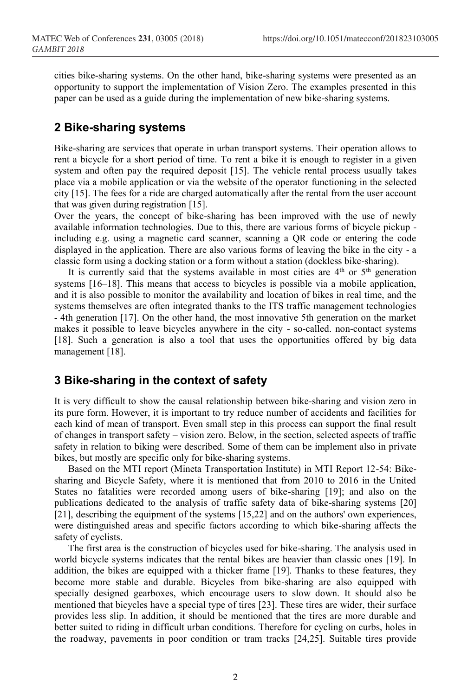cities bike-sharing systems. On the other hand, bike-sharing systems were presented as an opportunity to support the implementation of Vision Zero. The examples presented in this paper can be used as a guide during the implementation of new bike-sharing systems.

## **2 Bike-sharing systems**

Bike-sharing are services that operate in urban transport systems. Their operation allows to rent a bicycle for a short period of time. To rent a bike it is enough to register in a given system and often pay the required deposit [15]. The vehicle rental process usually takes place via a mobile application or via the website of the operator functioning in the selected city [15]. The fees for a ride are charged automatically after the rental from the user account that was given during registration [15].

Over the years, the concept of bike-sharing has been improved with the use of newly available information technologies. Due to this, there are various forms of bicycle pickup including e.g. using a magnetic card scanner, scanning a QR code or entering the code displayed in the application. There are also various forms of leaving the bike in the city - a classic form using a docking station or a form without a station (dockless bike-sharing).

It is currently said that the systems available in most cities are  $4<sup>th</sup>$  or  $5<sup>th</sup>$  generation systems [16–18]. This means that access to bicycles is possible via a mobile application, and it is also possible to monitor the availability and location of bikes in real time, and the systems themselves are often integrated thanks to the ITS traffic management technologies - 4th generation [17]. On the other hand, the most innovative 5th generation on the market makes it possible to leave bicycles anywhere in the city - so-called. non-contact systems [18]. Such a generation is also a tool that uses the opportunities offered by big data management [18].

#### **3 Bike-sharing in the context of safety**

It is very difficult to show the causal relationship between bike-sharing and vision zero in its pure form. However, it is important to try reduce number of accidents and facilities for each kind of mean of transport. Even small step in this process can support the final result of changes in transport safety – vision zero. Below, in the section, selected aspects of traffic safety in relation to biking were described. Some of them can be implement also in private bikes, but mostly are specific only for bike-sharing systems.

Based on the MTI report (Mineta Transportation Institute) in MTI Report 12-54: Bikesharing and Bicycle Safety, where it is mentioned that from 2010 to 2016 in the United States no fatalities were recorded among users of bike-sharing [19]; and also on the publications dedicated to the analysis of traffic safety data of bike-sharing systems [20] [21], describing the equipment of the systems [15,22] and on the authors' own experiences, were distinguished areas and specific factors according to which bike-sharing affects the safety of cyclists.

The first area is the construction of bicycles used for bike-sharing. The analysis used in world bicycle systems indicates that the rental bikes are heavier than classic ones [19]. In addition, the bikes are equipped with a thicker frame [19]. Thanks to these features, they become more stable and durable. Bicycles from bike-sharing are also equipped with specially designed gearboxes, which encourage users to slow down. It should also be mentioned that bicycles have a special type of tires [23]. These tires are wider, their surface provides less slip. In addition, it should be mentioned that the tires are more durable and better suited to riding in difficult urban conditions. Therefore for cycling on curbs, holes in the roadway, pavements in poor condition or tram tracks [24,25]. Suitable tires provide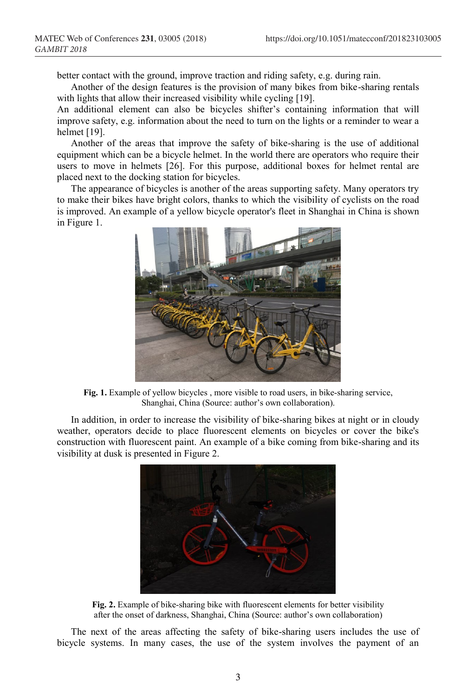better contact with the ground, improve traction and riding safety, e.g. during rain.

Another of the design features is the provision of many bikes from bike-sharing rentals with lights that allow their increased visibility while cycling [19].

An additional element can also be bicycles shifter's containing information that will improve safety, e.g. information about the need to turn on the lights or a reminder to wear a helmet [19].

Another of the areas that improve the safety of bike-sharing is the use of additional equipment which can be a bicycle helmet. In the world there are operators who require their users to move in helmets [26]. For this purpose, additional boxes for helmet rental are placed next to the docking station for bicycles.

The appearance of bicycles is another of the areas supporting safety. Many operators try to make their bikes have bright colors, thanks to which the visibility of cyclists on the road is improved. An example of a yellow bicycle operator's fleet in Shanghai in China is shown in Figure 1.



**Fig. 1.** Example of yellow bicycles , more visible to road users, in bike-sharing service, Shanghai, China (Source: author's own collaboration).

In addition, in order to increase the visibility of bike-sharing bikes at night or in cloudy weather, operators decide to place fluorescent elements on bicycles or cover the bike's construction with fluorescent paint. An example of a bike coming from bike-sharing and its visibility at dusk is presented in Figure 2.



**Fig. 2.** Example of bike-sharing bike with fluorescent elements for better visibility after the onset of darkness, Shanghai, China (Source: author's own collaboration)

The next of the areas affecting the safety of bike-sharing users includes the use of bicycle systems. In many cases, the use of the system involves the payment of an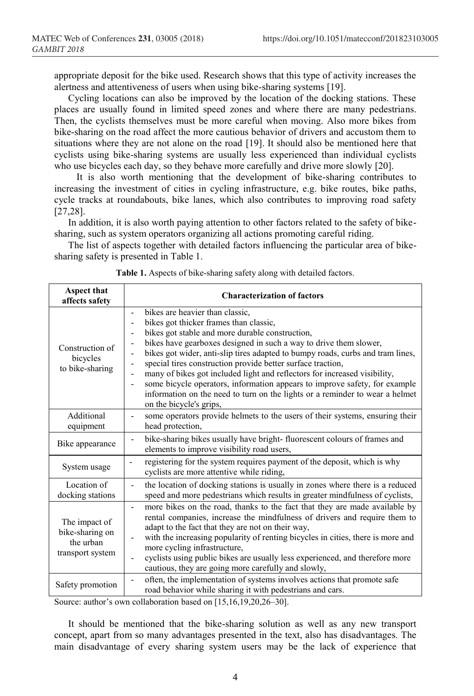appropriate deposit for the bike used. Research shows that this type of activity increases the alertness and attentiveness of users when using bike-sharing systems [19].

Cycling locations can also be improved by the location of the docking stations. These places are usually found in limited speed zones and where there are many pedestrians. Then, the cyclists themselves must be more careful when moving. Also more bikes from bike-sharing on the road affect the more cautious behavior of drivers and accustom them to situations where they are not alone on the road [19]. It should also be mentioned here that cyclists using bike-sharing systems are usually less experienced than individual cyclists who use bicycles each day, so they behave more carefully and drive more slowly [20].

It is also worth mentioning that the development of bike-sharing contributes to increasing the investment of cities in cycling infrastructure, e.g. bike routes, bike paths, cycle tracks at roundabouts, bike lanes, which also contributes to improving road safety [27,28].

In addition, it is also worth paying attention to other factors related to the safety of bikesharing, such as system operators organizing all actions promoting careful riding.

The list of aspects together with detailed factors influencing the particular area of bikesharing safety is presented in Table 1.

| <b>Aspect that</b><br>affects safety                              | <b>Characterization of factors</b>                                                                                                                                                                                                                                                                                                                                                                                                                                                                                                                                                                                       |
|-------------------------------------------------------------------|--------------------------------------------------------------------------------------------------------------------------------------------------------------------------------------------------------------------------------------------------------------------------------------------------------------------------------------------------------------------------------------------------------------------------------------------------------------------------------------------------------------------------------------------------------------------------------------------------------------------------|
| Construction of<br>bicycles<br>to bike-sharing                    | bikes are heavier than classic,<br>bikes got thicker frames than classic,<br>bikes got stable and more durable construction,<br>bikes have gearboxes designed in such a way to drive them slower,<br>bikes got wider, anti-slip tires adapted to bumpy roads, curbs and tram lines,<br>special tires construction provide better surface traction,<br>many of bikes got included light and reflectors for increased visibility,<br>some bicycle operators, information appears to improve safety, for example<br>information on the need to turn on the lights or a reminder to wear a helmet<br>on the bicycle's grips, |
| Additional<br>equipment                                           | some operators provide helmets to the users of their systems, ensuring their<br>head protection,                                                                                                                                                                                                                                                                                                                                                                                                                                                                                                                         |
| Bike appearance                                                   | bike-sharing bikes usually have bright- fluorescent colours of frames and<br>elements to improve visibility road users,                                                                                                                                                                                                                                                                                                                                                                                                                                                                                                  |
| System usage                                                      | registering for the system requires payment of the deposit, which is why<br>$\overline{\phantom{a}}$<br>cyclists are more attentive while riding,                                                                                                                                                                                                                                                                                                                                                                                                                                                                        |
| Location of<br>docking stations                                   | the location of docking stations is usually in zones where there is a reduced<br>speed and more pedestrians which results in greater mindfulness of cyclists,                                                                                                                                                                                                                                                                                                                                                                                                                                                            |
| The impact of<br>bike-sharing on<br>the urban<br>transport system | more bikes on the road, thanks to the fact that they are made available by<br>rental companies, increase the mindfulness of drivers and require them to<br>adapt to the fact that they are not on their way,<br>with the increasing popularity of renting bicycles in cities, there is more and<br>more cycling infrastructure,<br>cyclists using public bikes are usually less experienced, and therefore more<br>cautious, they are going more carefully and slowly,                                                                                                                                                   |
| Safety promotion                                                  | often, the implementation of systems involves actions that promote safe<br>$\overline{\phantom{0}}$<br>road behavior while sharing it with pedestrians and cars.                                                                                                                                                                                                                                                                                                                                                                                                                                                         |

**Table 1.** Aspects of bike-sharing safety along with detailed factors.

Source: author's own collaboration based on [15,16,19,20,26–30].

It should be mentioned that the bike-sharing solution as well as any new transport concept, apart from so many advantages presented in the text, also has disadvantages. The main disadvantage of every sharing system users may be the lack of experience that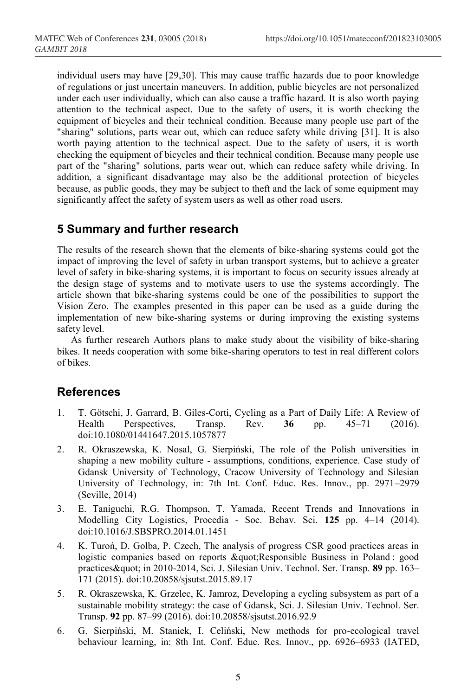individual users may have [29,30]. This may cause traffic hazards due to poor knowledge of regulations or just uncertain maneuvers. In addition, public bicycles are not personalized under each user individually, which can also cause a traffic hazard. It is also worth paying attention to the technical aspect. Due to the safety of users, it is worth checking the equipment of bicycles and their technical condition. Because many people use part of the "sharing" solutions, parts wear out, which can reduce safety while driving [31]. It is also worth paying attention to the technical aspect. Due to the safety of users, it is worth checking the equipment of bicycles and their technical condition. Because many people use part of the "sharing" solutions, parts wear out, which can reduce safety while driving. In addition, a significant disadvantage may also be the additional protection of bicycles because, as public goods, they may be subject to theft and the lack of some equipment may significantly affect the safety of system users as well as other road users.

## **5 Summary and further research**

The results of the research shown that the elements of bike-sharing systems could got the impact of improving the level of safety in urban transport systems, but to achieve a greater level of safety in bike-sharing systems, it is important to focus on security issues already at the design stage of systems and to motivate users to use the systems accordingly. The article shown that bike-sharing systems could be one of the possibilities to support the Vision Zero. The examples presented in this paper can be used as a guide during the implementation of new bike-sharing systems or during improving the existing systems safety level.

As further research Authors plans to make study about the visibility of bike-sharing bikes. It needs cooperation with some bike-sharing operators to test in real different colors of bikes.

### **References**

- 1. T. Götschi, J. Garrard, B. Giles-Corti, Cycling as a Part of Daily Life: A Review of Health Perspectives, Transp. Rev. **36** pp. 45–71 (2016). doi:10.1080/01441647.2015.1057877
- 2. R. Okraszewska, K. Nosal, G. Sierpiński, The role of the Polish universities in shaping a new mobility culture - assumptions, conditions, experience. Case study of Gdansk University of Technology, Cracow University of Technology and Silesian University of Technology, in: 7th Int. Conf. Educ. Res. Innov., pp. 2971–2979 (Seville, 2014)
- 3. E. Taniguchi, R.G. Thompson, T. Yamada, Recent Trends and Innovations in Modelling City Logistics, Procedia - Soc. Behav. Sci. **125** pp. 4–14 (2014). doi:10.1016/J.SBSPRO.2014.01.1451
- 4. K. Turoń, D. Golba, P. Czech, The analysis of progress CSR good practices areas in logistic companies based on reports " Responsible Business in Poland : good practices" in 2010-2014, Sci. J. Silesian Univ. Technol. Ser. Transp. 89 pp. 163-171 (2015). doi:10.20858/sjsutst.2015.89.17
- 5. R. Okraszewska, K. Grzelec, K. Jamroz, Developing a cycling subsystem as part of a sustainable mobility strategy: the case of Gdansk, Sci. J. Silesian Univ. Technol. Ser. Transp. **92** pp. 87–99 (2016). doi:10.20858/sjsutst.2016.92.9
- 6. G. Sierpiński, M. Staniek, I. Celiński, New methods for pro-ecological travel behaviour learning, in: 8th Int. Conf. Educ. Res. Innov., pp. 6926–6933 (IATED,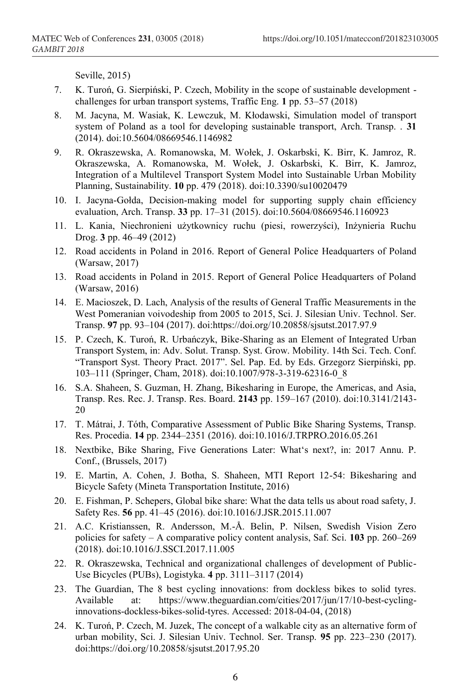Seville, 2015)

- 7. K. Turoń, G. Sierpiński, P. Czech, Mobility in the scope of sustainable development challenges for urban transport systems, Traffic Eng. **1** pp. 53–57 (2018)
- 8. M. Jacyna, M. Wasiak, K. Lewczuk, M. Kłodawski, Simulation model of transport system of Poland as a tool for developing sustainable transport, Arch. Transp. . **31** (2014). doi:10.5604/08669546.1146982
- 9. R. Okraszewska, A. Romanowska, M. Wołek, J. Oskarbski, K. Birr, K. Jamroz, R. Okraszewska, A. Romanowska, M. Wołek, J. Oskarbski, K. Birr, K. Jamroz, Integration of a Multilevel Transport System Model into Sustainable Urban Mobility Planning, Sustainability. **10** pp. 479 (2018). doi:10.3390/su10020479
- 10. I. Jacyna-Gołda, Decision-making model for supporting supply chain efficiency evaluation, Arch. Transp. **33** pp. 17–31 (2015). doi:10.5604/08669546.1160923
- 11. L. Kania, Niechronieni użytkownicy ruchu (piesi, rowerzyści), Inżynieria Ruchu Drog. **3** pp. 46–49 (2012)
- 12. Road accidents in Poland in 2016. Report of General Police Headquarters of Poland (Warsaw, 2017)
- 13. Road accidents in Poland in 2015. Report of General Police Headquarters of Poland (Warsaw, 2016)
- 14. E. Macioszek, D. Lach, Analysis of the results of General Traffic Measurements in the West Pomeranian voivodeship from 2005 to 2015, Sci. J. Silesian Univ. Technol. Ser. Transp. **97** pp. 93–104 (2017). doi:https://doi.org/10.20858/sjsutst.2017.97.9
- 15. P. Czech, K. Turoń, R. Urbańczyk, Bike-Sharing as an Element of Integrated Urban Transport System, in: Adv. Solut. Transp. Syst. Grow. Mobility. 14th Sci. Tech. Conf. "Transport Syst. Theory Pract. 2017". Sel. Pap. Ed. by Eds. Grzegorz Sierpiński, pp. 103–111 (Springer, Cham, 2018). doi:10.1007/978-3-319-62316-0\_8
- 16. S.A. Shaheen, S. Guzman, H. Zhang, Bikesharing in Europe, the Americas, and Asia, Transp. Res. Rec. J. Transp. Res. Board. **2143** pp. 159–167 (2010). doi:10.3141/2143- 20
- 17. T. Mátrai, J. Tóth, Comparative Assessment of Public Bike Sharing Systems, Transp. Res. Procedia. **14** pp. 2344–2351 (2016). doi:10.1016/J.TRPRO.2016.05.261
- 18. Nextbike, Bike Sharing, Five Generations Later: What's next?, in: 2017 Annu. P. Conf., (Brussels, 2017)
- 19. E. Martin, A. Cohen, J. Botha, S. Shaheen, MTI Report 12-54: Bikesharing and Bicycle Safety (Mineta Transportation Institute, 2016)
- 20. E. Fishman, P. Schepers, Global bike share: What the data tells us about road safety, J. Safety Res. **56** pp. 41–45 (2016). doi:10.1016/J.JSR.2015.11.007
- 21. A.C. Kristianssen, R. Andersson, M.-Å. Belin, P. Nilsen, Swedish Vision Zero policies for safety – A comparative policy content analysis, Saf. Sci. **103** pp. 260–269 (2018). doi:10.1016/J.SSCI.2017.11.005
- 22. R. Okraszewska, Technical and organizational challenges of development of Public-Use Bicycles (PUBs), Logistyka. **4** pp. 3111–3117 (2014)
- 23. The Guardian, The 8 best cycling innovations: from dockless bikes to solid tyres. Available at: https://www.theguardian.com/cities/2017/jun/17/10-best-cyclinginnovations-dockless-bikes-solid-tyres. Accessed: 2018-04-04, (2018)
- 24. K. Turoń, P. Czech, M. Juzek, The concept of a walkable city as an alternative form of urban mobility, Sci. J. Silesian Univ. Technol. Ser. Transp. **95** pp. 223–230 (2017). doi:https://doi.org/10.20858/sjsutst.2017.95.20